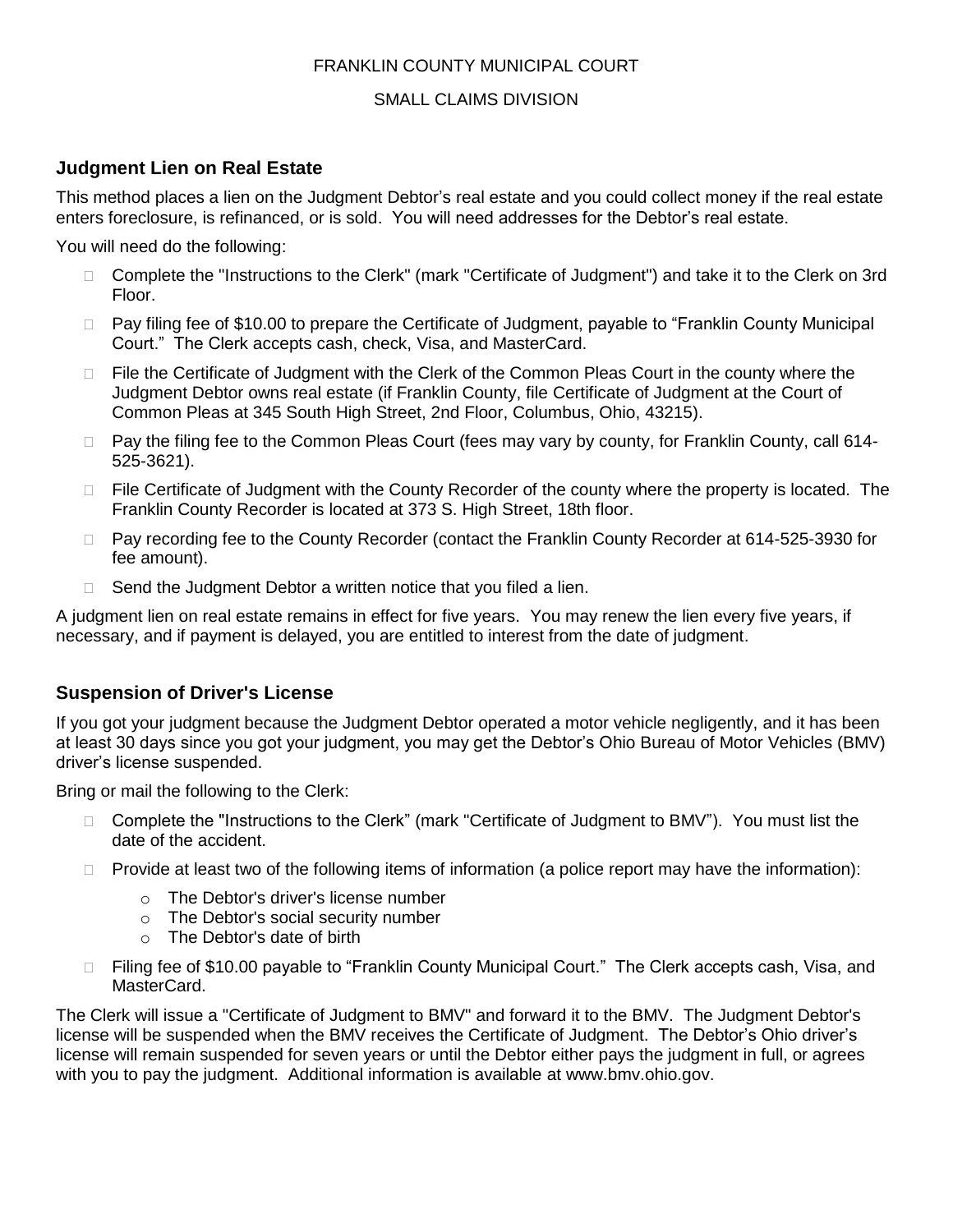#### FRANKLIN COUNTY MUNICIPAL COURT

#### SMALL CLAIMS DIVISION

## **Judgment Lien on Real Estate**

This method places a lien on the Judgment Debtor's real estate and you could collect money if the real estate enters foreclosure, is refinanced, or is sold. You will need addresses for the Debtor's real estate.

You will need do the following:

- □ Complete the "Instructions to the Clerk" (mark "Certificate of Judgment") and take it to the Clerk on 3rd Floor.
- □ Pay filing fee of \$10.00 to prepare the Certificate of Judgment, payable to "Franklin County Municipal Court." The Clerk accepts cash, check, Visa, and MasterCard.
- $\Box$  File the Certificate of Judgment with the Clerk of the Common Pleas Court in the county where the Judgment Debtor owns real estate (if Franklin County, file Certificate of Judgment at the Court of Common Pleas at 345 South High Street, 2nd Floor, Columbus, Ohio, 43215).
- □ Pay the filing fee to the Common Pleas Court (fees may vary by county, for Franklin County, call 614-525-3621).
- $\Box$  File Certificate of Judgment with the County Recorder of the county where the property is located. The Franklin County Recorder is located at 373 S. High Street, 18th floor.
- □ Pay recording fee to the County Recorder (contact the Franklin County Recorder at 614-525-3930 for fee amount).
- $\Box$  Send the Judgment Debtor a written notice that you filed a lien.

A judgment lien on real estate remains in effect for five years. You may renew the lien every five years, if necessary, and if payment is delayed, you are entitled to interest from the date of judgment.

## **Suspension of Driver's License**

If you got your judgment because the Judgment Debtor operated a motor vehicle negligently, and it has been at least 30 days since you got your judgment, you may get the Debtor's Ohio Bureau of Motor Vehicles (BMV) driver's license suspended.

Bring or mail the following to the Clerk:

- □ Complete the "Instructions to the Clerk" (mark "Certificate of Judgment to BMV"). You must list the date of the accident.
- $\Box$  Provide at least two of the following items of information (a police report may have the information):
	- o The Debtor's driver's license number
	- o The Debtor's social security number
	- o The Debtor's date of birth
- □ Filing fee of \$10.00 payable to "Franklin County Municipal Court." The Clerk accepts cash, Visa, and MasterCard.

The Clerk will issue a "Certificate of Judgment to BMV" and forward it to the BMV. The Judgment Debtor's license will be suspended when the BMV receives the Certificate of Judgment. The Debtor's Ohio driver's license will remain suspended for seven years or until the Debtor either pays the judgment in full, or agrees with you to pay the judgment. Additional information is available at www.bmv.ohio.gov.